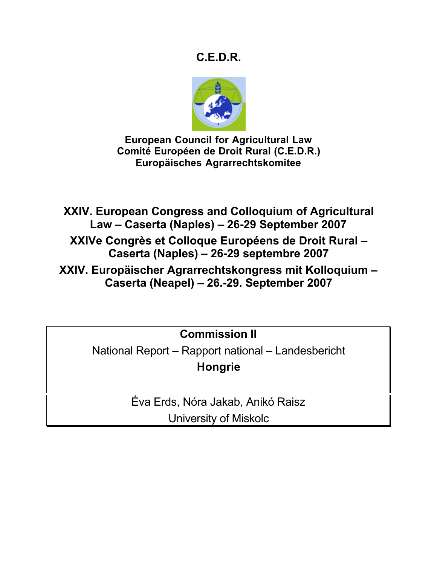# **C.E.D.R.**



**European Council for Agricultural Law Comité Européen de Droit Rural (C.E.D.R.) Europäisches Agrarrechtskomitee**

**XXIV. European Congress and Colloquium of Agricultural Law – Caserta (Naples) – 26-29 September 2007**

**XXIVe Congrès et Colloque Européens de Droit Rural – Caserta (Naples) – 26-29 septembre 2007**

**XXIV. Europäischer Agrarrechtskongress mit Kolloquium – Caserta (Neapel) – 26.-29. September 2007**

**Commission II**

National Report – Rapport national – Landesbericht **Hongrie**

> Éva Erds, Nóra Jakab, Anikó Raisz University of Miskolc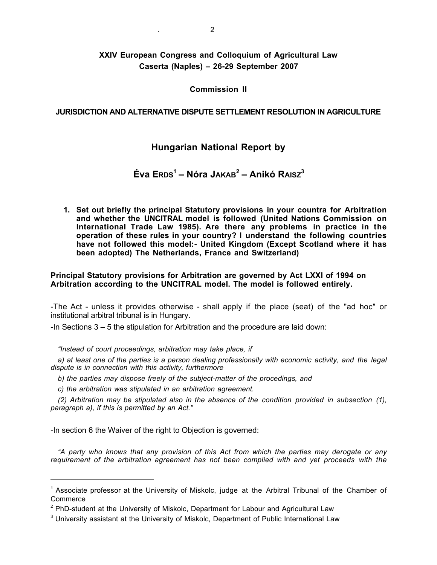# **XXIV European Congress and Colloquium of Agricultural Law Caserta (Naples) – 26-29 September 2007**

#### **Commission II**

## **JURISDICTION AND ALTERNATIVE DISPUTE SETTLEMENT RESOLUTION IN AGRICULTURE**

# **Hungarian National Report by**

# **Éva ERDS<sup>1</sup> – Nóra JAKAB<sup>2</sup> – Anikó RAISZ3**

**1. Set out briefly the principal Statutory provisions in your countra for Arbitration and whether the UNCITRAL model is followed (United Nations Commission on International Trade Law 1985). Are there any problems in practice in the operation of these rules in your country? I understand the following countries have not followed this model:- United Kingdom (Except Scotland where it has been adopted) The Netherlands, France and Switzerland)**

#### **Principal Statutory provisions for Arbitration are governed by Act LXXI of 1994 on Arbitration according to the UNCITRAL model. The model is followed entirely.**

-The Act - unless it provides otherwise - shall apply if the place (seat) of the "ad hoc" or institutional arbitral tribunal is in Hungary.

-In Sections 3 – 5 the stipulation for Arbitration and the procedure are laid down:

*"Instead of court proceedings, arbitration may take place, if*

*a) at least one of the parties is a person dealing professionally with economic activity, and the legal dispute is in connection with this activity, furthermore*

*b) the parties may dispose freely of the subject-matter of the procedings, and*

*c) the arbitration was stipulated in an arbitration agreement.*

*(2) Arbitration may be stipulated also in the absence of the condition provided in subsection (1), paragraph a), if this is permitted by an Act."*

-In section 6 the Waiver of the right to Objection is governed:

 $\overline{a}$ 

*"A party who knows that any provision of this Act from which the parties may derogate or any requirement of the arbitration agreement has not been complied with and yet proceeds with the*

<sup>&</sup>lt;sup>1</sup> Associate professor at the University of Miskolc, judge at the Arbitral Tribunal of the Chamber of **Commerce** 

 $2$  PhD-student at the University of Miskolc, Department for Labour and Agricultural Law

<sup>&</sup>lt;sup>3</sup> University assistant at the University of Miskolc, Department of Public International Law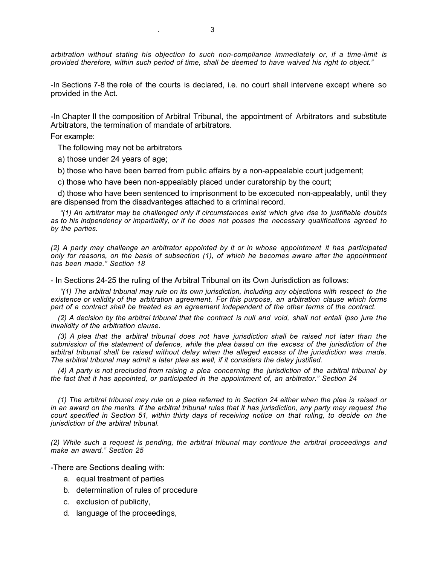*arbitration without stating his objection to such non-compliance immediately or, if a time-limit is provided therefore, within such period of time, shall be deemed to have waived his right to object."*

-In Sections 7-8 the role of the courts is declared, i.e. no court shall intervene except where so provided in the Act.

-In Chapter II the composition of Arbitral Tribunal, the appointment of Arbitrators and substitute Arbitrators, the termination of mandate of arbitrators.

For example:

The following may not be arbitrators

a) those under 24 years of age;

b) those who have been barred from public affairs by a non-appealable court judgement;

c) those who have been non-appealably placed under curatorship by the court;

d) those who have been sentenced to imprisonment to be excecuted non-appealably, until they are dispensed from the disadvanteges attached to a criminal record.

*"(1) An arbitrator may be challenged only if circumstances exist which give rise to justifiable doubts as to his indpendency or impartiality, or if he does not posses the necessary qualifications agreed to by the parties.*

*(2) A party may challenge an arbitrator appointed by it or in whose appointment it has participated only for reasons, on the basis of subsection (1), of which he becomes aware after the appointment has been made." Section 18*

- In Sections 24-25 the ruling of the Arbitral Tribunal on its Own Jurisdiction as follows:

*"(1) The arbitral tribunal may rule on its own jurisdiction, including any objections with respect to the existence or validity of the arbitration agreement. For this purpose, an arbitration clause which forms part of a contract shall be treated as an agreement independent of the other terms of the contract.*

*(2) A decision by the arbitral tribunal that the contract is null and void, shall not entail ipso jure the invalidity of the arbitration clause.*

*(3) A plea that the arbitral tribunal does not have jurisdiction shall be raised not later than the submission of the statement of defence, while the plea based on the excess of the jurisdiction of the arbitral tribunal shall be raised without delay when the alleged excess of the jurisdiction was made. The arbitral tribunal may admit a later plea as well, if it considers the delay justified.*

*(4) A party is not precluded from raising a plea concerning the jurisdiction of the arbitral tribunal by the fact that it has appointed, or participated in the appointment of, an arbitrator." Section 24*

*(1) The arbitral tribunal may rule on a plea referred to in Section 24 either when the plea is raised or in an award on the merits. If the arbitral tribunal rules that it has jurisdiction, any party may request the court specified in Section 51, within thirty days of receiving notice on that ruling, to decide on the jurisdiction of the arbitral tribunal.*

*(2) While such a request is pending, the arbitral tribunal may continue the arbitral proceedings and make an award." Section 25*

-There are Sections dealing with:

- a. equal treatment of parties
- b. determination of rules of procedure
- c. exclusion of publicity,
- d. language of the proceedings,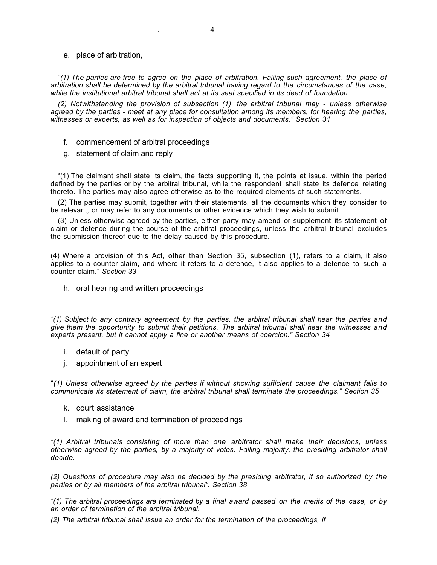#### e. place of arbitration,

*"(1) The parties are free to agree on the place of arbitration. Failing such agreement, the place of arbitration shall be determined by the arbitral tribunal having regard to the circumstances of the case, while the institutional arbitral tribunal shall act at its seat specified in its deed of foundation.*

*(2) Notwithstanding the provision of subsection (1), the arbitral tribunal may - unless otherwise agreed by the parties - meet at any place for consultation among its members, for hearing the parties, witnesses or experts, as well as for inspection of objects and documents." Section 31*

- f. commencement of arbitral proceedings
- g. statement of claim and reply

"(1) The claimant shall state its claim, the facts supporting it, the points at issue, within the period defined by the parties or by the arbitral tribunal, while the respondent shall state its defence relating thereto. The parties may also agree otherwise as to the required elements of such statements.

(2) The parties may submit, together with their statements, all the documents which they consider to be relevant, or may refer to any documents or other evidence which they wish to submit.

(3) Unless otherwise agreed by the parties, either party may amend or supplement its statement of claim or defence during the course of the arbitral proceedings, unless the arbitral tribunal excludes the submission thereof due to the delay caused by this procedure.

(4) Where a provision of this Act, other than Section 35, subsection (1), refers to a claim, it also applies to a counter-claim, and where it refers to a defence, it also applies to a defence to such a counter-claim." *Section 33*

h. oral hearing and written proceedings

*"(1) Subject to any contrary agreement by the parties, the arbitral tribunal shall hear the parties and give them the opportunity to submit their petitions. The arbitral tribunal shall hear the witnesses and experts present, but it cannot apply a fine or another means of coercion." Section 34*

- i. default of party
- j. appointment of an expert

"*(1) Unless otherwise agreed by the parties if without showing sufficient cause the claimant fails to communicate its statement of claim, the arbitral tribunal shall terminate the proceedings." Section 35*

- k. court assistance
- l. making of award and termination of proceedings

*"(1) Arbitral tribunals consisting of more than one arbitrator shall make their decisions, unless otherwise agreed by the parties, by a majority of votes. Failing majority, the presiding arbitrator shall decide.*

*(2) Questions of procedure may also be decided by the presiding arbitrator, if so authorized by the parties or by all members of the arbitral tribunal". Section 38*

*"(1) The arbitral proceedings are terminated by a final award passed on the merits of the case, or by an order of termination of the arbitral tribunal.*

*(2) The arbitral tribunal shall issue an order for the termination of the proceedings, if*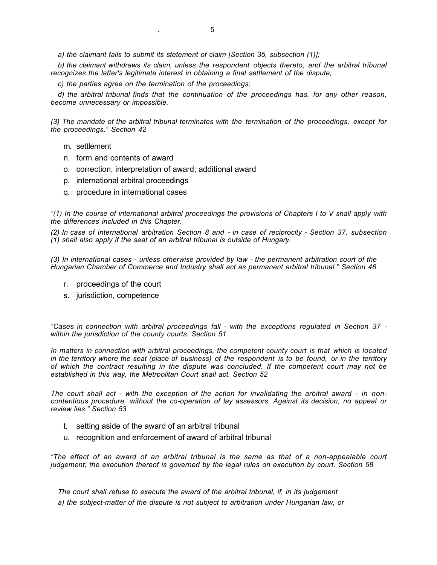*a) the claimant fails to submit its stetement of claim [Section 35, subsection (1)];*

*b) the claimant withdraws its claim, unless the respondent objects thereto, and the arbitral tribunal recognizes the latter's legitimate interest in obtaining a final settlement of the dispute;*

*c) the parties agree on the termination of the proceedings;*

*d) the arbitral tribunal finds that the continuation of the proceedings has, for any other reason, become unnecessary or impossible.*

*(3) The mandate of the arbitral tribunal terminates with the termination of the proceedings, except for the proceedings." Section 42*

- m. settlement
- n. form and contents of award
- o. correction, interpretation of award; additional award
- p. international arbitral proceedings
- q. procedure in international cases

*"(1) In the course of international arbitral proceedings the provisions of Chapters I to V shall apply with the differences included in this Chapter.*

*(2) In case of international arbitration Section 8 and - in case of reciprocity - Section 37, subsection (1) shall also apply if the seat of an arbitral tribunal is outside of Hungary.*

*(3) In international cases - unless otherwise provided by law - the permanent arbitration court of the Hungarian Chamber of Commerce and Industry shall act as permanent arbitral tribunal." Section 46*

- r. proceedings of the court
- s. jurisdiction, competence

*"Cases in connection with arbitral proceedings fall - with the exceptions regulated in Section 37 within the jurisdiction of the county courts. Section 51*

*In matters in connection with arbitral proceedings, the competent county court is that which is located in the territory where the seat (place of business) of the respondent is to be found, or in the territory of which the contract resulting in the dispute was concluded. If the competent court may not be established in this way, the Metrpolitan Court shall act. Section 52*

*The court shall act - with the exception of the action for invalidating the arbitral award - in noncontentious procedure, without the co-operation of lay assessors. Against its decision, no appeal or review lies." Section 53*

- t. setting aside of the award of an arbitral tribunal
- u. recognition and enforcement of award of arbitral tribunal

*"The effect of an award of an arbitral tribunal is the same as that of a non-appealable court judgement; the execution thereof is governed by the legal rules on execution by court. Section 58*

*The court shall refuse to execute the award of the arbitral tribunal, if, in its judgement a) the subject-matter of the dispute is not subject to arbitration under Hungarian law, or*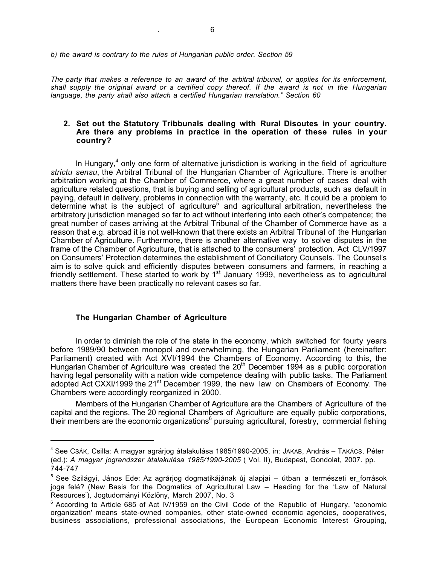*b) the award is contrary to the rules of Hungarian public order. Section 59*

*The party that makes a reference to an award of the arbitral tribunal, or applies for its enforcement, shall supply the original award or a certified copy thereof. If the award is not in the Hungarian language, the party shall also attach a certified Hungarian translation." Section 60*

#### **2. Set out the Statutory Tribbunals dealing with Rural Disoutes in your country. Are there any problems in practice in the operation of these rules in your country?**

In Hungary, $4$  only one form of alternative jurisdiction is working in the field of agriculture *strictu sensu*, the Arbitral Tribunal of the Hungarian Chamber of Agriculture. There is another arbitration working at the Chamber of Commerce, where a great number of cases deal with agriculture related questions, that is buying and selling of agricultural products, such as default in paying, default in delivery, problems in connection with the warranty, etc. It could be a problem to determine what is the subject of agriculture<sup>5</sup> and agricultural arbitration, nevertheless the arbitratory jurisdiction managed so far to act without interfering into each other's competence; the great number of cases arriving at the Arbitral Tribunal of the Chamber of Commerce have as a reason that e.g. abroad it is not well-known that there exists an Arbitral Tribunal of the Hungarian Chamber of Agriculture. Furthermore, there is another alternative way to solve disputes in the frame of the Chamber of Agriculture, that is attached to the consumers' protection. Act CLV/1997 on Consumers' Protection determines the establishment of Conciliatory Counsels. The Counsel's aim is to solve quick and efficiently disputes between consumers and farmers, in reaching a friendly settlement. These started to work by 1<sup>st</sup> January 1999, nevertheless as to agricultural matters there have been practically no relevant cases so far.

#### **The Hungarian Chamber of Agriculture**

 $\overline{a}$ 

In order to diminish the role of the state in the economy, which switched for fourty years before 1989/90 between monopol and overwhelming, the Hungarian Parliament (hereinafter: Parliament) created with Act XVI/1994 the Chambers of Economy. According to this, the Hungarian Chamber of Agriculture was created the 20<sup>th</sup> December 1994 as a public corporation having legal personality with a nation wide competence dealing with public tasks. The Parliament adopted Act CXXI/1999 the 21<sup>st</sup> December 1999, the new law on Chambers of Economy. The Chambers were accordingly reorganized in 2000.

Members of the Hungarian Chamber of Agriculture are the Chambers of Agriculture of the capital and the regions. The 20 regional Chambers of Agriculture are equally public corporations, their members are the economic organizations<sup>6</sup> pursuing agricultural, forestry, commercial fishing

<sup>&</sup>lt;sup>4</sup> See Csák, Csilla: A magyar agrárjog átalakulása 1985/1990-2005, in: Jakab, András – Takács, Péter (ed.): *A magyar jogrendszer átalakulása 1985/1990-2005* ( Vol. II), Budapest, Gondolat, 2007. pp. 744-747

<sup>&</sup>lt;sup>5</sup> See Szilágyi, János Ede: Az agrárjog dogmatikájának új alapjai – útban a természeti er\_források joga felé? (New Basis for the Dogmatics of Agricultural Law – Heading for the 'Law of Natural Resources'), Jogtudományi Közlöny, March 2007, No. 3

<sup>&</sup>lt;sup>6</sup> According to Article 685 of Act IV/1959 on the Civil Code of the Republic of Hungary, 'economic organization' means state-owned companies, other state-owned economic agencies, cooperatives, business associations, professional associations, the European Economic Interest Grouping,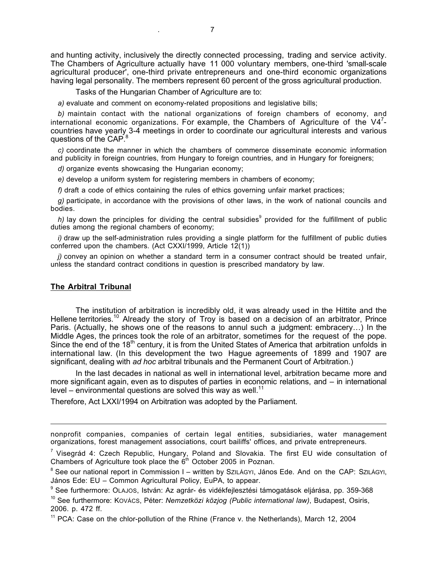and hunting activity, inclusively the directly connected processing, trading and service activity. The Chambers of Agriculture actually have 11 000 voluntary members, one-third 'small-scale agricultural producer', one-third private entrepreneurs and one-third economic organizations having legal personality. The members represent 60 percent of the gross agricultural production.

Tasks of the Hungarian Chamber of Agriculture are to:

*a)* evaluate and comment on economy-related propositions and legislative bills;

*b)* maintain contact with the national organizations of foreign chambers of economy, and international economic organizations. For example, the Chambers of Agriculture of the V4<sup>7</sup>countries have yearly 3-4 meetings in order to coordinate our agricultural interests and various questions of the CAP.<sup>8</sup>

*c)* coordinate the manner in which the chambers of commerce disseminate economic information and publicity in foreign countries, from Hungary to foreign countries, and in Hungary for foreigners;

*d)* organize events showcasing the Hungarian economy;

*e)* develop a uniform system for registering members in chambers of economy;

f) draft a code of ethics containing the rules of ethics governing unfair market practices;

*g)* participate, in accordance with the provisions of other laws, in the work of national councils and bodies.

 $h$ ) lay down the principles for dividing the central subsidies<sup>9</sup> provided for the fulfillment of public duties among the regional chambers of economy;

*i)* draw up the self-administration rules providing a single platform for the fulfillment of public duties conferred upon the chambers. (Act CXXI/1999, Article 12(1))

*j*) convey an opinion on whether a standard term in a consumer contract should be treated unfair, unless the standard contract conditions in question is prescribed mandatory by law.

#### **The Arbitral Tribunal**

 $\overline{a}$ 

The institution of arbitration is incredibly old, it was already used in the Hittite and the Hellene territories.<sup>10</sup> Already the story of Troy is based on a decision of an arbitrator, Prince Paris. (Actually, he shows one of the reasons to annul such a judgment: embracery…) In the Middle Ages, the princes took the role of an arbitrator, sometimes for the request of the pope. Since the end of the 18<sup>th</sup> century, it is from the United States of America that arbitration unfolds in international law. (In this development the two Hague agreements of 1899 and 1907 are significant, dealing with *ad hoc* arbitral tribunals and the Permanent Court of Arbitration.)

In the last decades in national as well in international level, arbitration became more and more significant again, even as to disputes of parties in economic relations, and – in international level – environmental questions are solved this way as well.<sup>11</sup>

Therefore, Act LXXI/1994 on Arbitration was adopted by the Parliament.

nonprofit companies, companies of certain legal entities, subsidiaries, water management organizations, forest management associations, court bailiffs' offices, and private entrepreneurs.

<sup>&</sup>lt;sup>7</sup> Visegrád 4: Czech Republic, Hungary, Poland and Slovakia. The first EU wide consultation of Chambers of Agriculture took place the  $6<sup>th</sup>$  October 2005 in Poznan.

<sup>&</sup>lt;sup>8</sup> See our national report in Commission I – written by SzILÁGYI, János Ede. And on the CAP: SzILÁGYI, János Ede: EU – Common Agricultural Policy, EuPA, to appear.

<sup>9</sup> See furthermore: OLAJOS, István: Az agrár- és vidékfejlesztési támogatások eljárása, pp. 359-368

<sup>10</sup> See furthermore: KOVÁCS, Péter: *Nemzetközi közjog (Public international law)*, Budapest, Osiris, 2006. p. 472 ff.

 $11$  PCA: Case on the chlor-pollution of the Rhine (France v. the Netherlands), March 12, 2004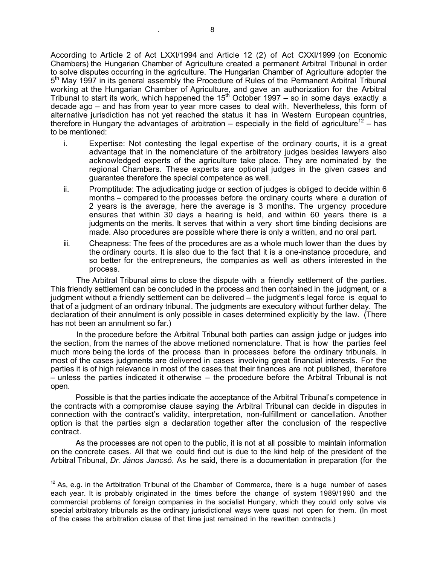According to Article 2 of Act LXXI/1994 and Article 12 (2) of Act CXXI/1999 (on Economic Chambers) the Hungarian Chamber of Agriculture created a permanent Arbitral Tribunal in order to solve disputes occurring in the agriculture. The Hungarian Chamber of Agriculture adopter the  $5<sup>th</sup>$  May 1997 in its general assembly the Procedure of Rules of the Permanent Arbitral Tribunal working at the Hungarian Chamber of Agriculture, and gave an authorization for the Arbitral Tribunal to start its work, which happened the  $15<sup>th</sup>$  October 1997 – so in some days exactly a decade ago – and has from year to year more cases to deal with. Nevertheless, this form of alternative jurisdiction has not yet reached the status it has in Western European countries, therefore in Hungary the advantages of arbitration – especially in the field of agriculture<sup>12</sup> – has to be mentioned:

- i. Expertise: Not contesting the legal expertise of the ordinary courts, it is a great advantage that in the nomenclature of the arbitratory judges besides lawyers also acknowledged experts of the agriculture take place. They are nominated by the regional Chambers. These experts are optional judges in the given cases and guarantee therefore the special competence as well.
- ii. Promptitude: The adjudicating judge or section of judges is obliged to decide within 6 months – compared to the processes before the ordinary courts where a duration of 2 years is the average, here the average is 3 months. The urgency procedure ensures that within 30 days a hearing is held, and within 60 years there is a judgments on the merits. It serves that within a very short time binding decisions are made. Also procedures are possible where there is only a written, and no oral part.
- iii. Cheapness: The fees of the procedures are as a whole much lower than the dues by the ordinary courts. It is also due to the fact that it is a one-instance procedure, and so better for the entrepreneurs, the companies as well as others interested in the process.

The Arbitral Tribunal aims to close the dispute with a friendly settlement of the parties. This friendly settlement can be concluded in the process and then contained in the judgment, or a iudament without a friendly settlement can be delivered – the judgment's legal force is equal to that of a judgment of an ordinary tribunal. The judgments are executory without further delay. The declaration of their annulment is only possible in cases determined explicitly by the law. (There has not been an annulment so far.)

In the procedure before the Arbitral Tribunal both parties can assign judge or judges into the section, from the names of the above metioned nomenclature. That is how the parties feel much more being the lords of the process than in processes before the ordinary tribunals. In most of the cases judgments are delivered in cases involving great financial interests. For the parties it is of high relevance in most of the cases that their finances are not published, therefore – unless the parties indicated it otherwise – the procedure before the Arbitral Tribunal is not open.

Possible is that the parties indicate the acceptance of the Arbitral Tribunal's competence in the contracts with a compromise clause saying the Arbitral Tribunal can decide in disputes in connection with the contract's validity, interpretation, non-fulfillment or cancellation. Another option is that the parties sign a declaration together after the conclusion of the respective contract.

As the processes are not open to the public, it is not at all possible to maintain information on the concrete cases. All that we could find out is due to the kind help of the president of the Arbitral Tribunal, *Dr. János Jancsó*. As he said, there is a documentation in preparation (for the

 $12$  As, e.g. in the Artbitration Tribunal of the Chamber of Commerce, there is a huge number of cases each year. It is probably originated in the times before the change of system 1989/1990 and the commercial problems of foreign companies in the socialist Hungary, which they could only solve via special arbitratory tribunals as the ordinary jurisdictional ways were quasi not open for them. (In most of the cases the arbitration clause of that time just remained in the rewritten contracts.)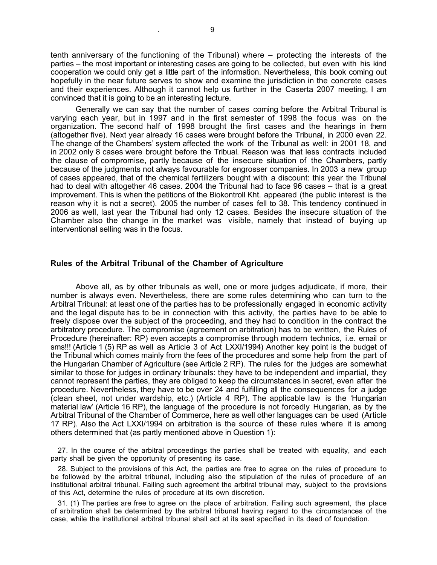tenth anniversary of the functioning of the Tribunal) where – protecting the interests of the parties – the most important or interesting cases are going to be collected, but even with his kind cooperation we could only get a little part of the information. Nevertheless, this book coming out hopefully in the near future serves to show and examine the jurisdiction in the concrete cases and their experiences. Although it cannot help us further in the Caserta 2007 meeting, I am convinced that it is going to be an interesting lecture.

Generally we can say that the number of cases coming before the Arbitral Tribunal is varying each year, but in 1997 and in the first semester of 1998 the focus was on the organization. The second half of 1998 brought the first cases and the hearings in them (altogether five). Next year already 16 cases were brought before the Tribunal, in 2000 even 22. The change of the Chambers' system affected the work of the Tribunal as well: in 2001 18, and in 2002 only 8 cases were brought before the Tribual. Reason was that less contracts included the clause of compromise, partly because of the insecure situation of the Chambers, partly because of the judgments not always favourable for engrosser companies. In 2003 a new group of cases appeared, that of the chemical fertilizers bought with a discount: this year the Tribunal had to deal with altogether 46 cases. 2004 the Tribunal had to face 96 cases – that is a great improvement. This is when the petitions of the Biokontroll Kht. appeared (the public interest is the reason why it is not a secret). 2005 the number of cases fell to 38. This tendency continued in 2006 as well, last year the Tribunal had only 12 cases. Besides the insecure situation of the Chamber also the change in the market was visible, namely that instead of buying up interventional selling was in the focus.

#### **Rules of the Arbitral Tribunal of the Chamber of Agriculture**

Above all, as by other tribunals as well, one or more judges adjudicate, if more, their number is always even. Nevertheless, there are some rules determining who can turn to the Arbitral Tribunal: at least one of the parties has to be professionally engaged in economic activity and the legal dispute has to be in connection with this activity, the parties have to be able to freely dispose over the subject of the proceeding, and they had to condition in the contract the arbitratory procedure. The compromise (agreement on arbitration) has to be written, the Rules of Procedure (hereinafter: RP) even accepts a compromise through modern technics, i.e. email or sms!!! (Article 1 (5) RP as well as Article 3 of Act LXXI/1994) Another key point is the budget of the Tribunal which comes mainly from the fees of the procedures and some help from the part of the Hungarian Chamber of Agriculture (see Article 2 RP). The rules for the judges are somewhat similar to those for judges in ordinary tribunals: they have to be independent and impartial, they cannot represent the parties, they are obliged to keep the circumstances in secret, even after the procedure. Nevertheless, they have to be over 24 and fulfilling all the consequences for a judge (clean sheet, not under wardship, etc.) (Article 4 RP). The applicable law is the 'Hungarian material law' (Article 16 RP), the language of the procedure is not forcedly Hungarian, as by the Arbitral Tribunal of the Chamber of Commerce, here as well other languages can be used (Article 17 RP). Also the Act LXXI/1994 on arbitration is the source of these rules where it is among others determined that (as partly mentioned above in Question 1):

27. In the course of the arbitral proceedings the parties shall be treated with equality, and each party shall be given the opportunity of presenting its case.

28. Subject to the provisions of this Act, the parties are free to agree on the rules of procedure to be followed by the arbitral tribunal, including also the stipulation of the rules of procedure of an institutional arbitral tribunal. Failing such agreement the arbitral tribunal may, subject to the provisions of this Act, determine the rules of procedure at its own discretion.

31. (1) The parties are free to agree on the place of arbitration. Failing such agreement, the place of arbitration shall be determined by the arbitral tribunal having regard to the circumstances of the case, while the institutional arbitral tribunal shall act at its seat specified in its deed of foundation.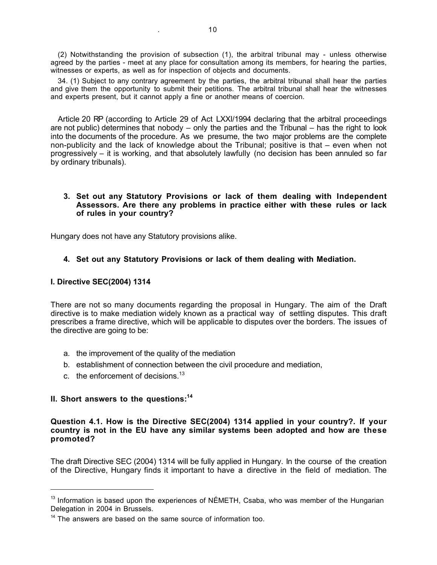(2) Notwithstanding the provision of subsection (1), the arbitral tribunal may - unless otherwise agreed by the parties - meet at any place for consultation among its members, for hearing the parties, witnesses or experts, as well as for inspection of objects and documents.

34. (1) Subject to any contrary agreement by the parties, the arbitral tribunal shall hear the parties and give them the opportunity to submit their petitions. The arbitral tribunal shall hear the witnesses and experts present, but it cannot apply a fine or another means of coercion.

Article 20 RP (according to Article 29 of Act LXXI/1994 declaring that the arbitral proceedings are not public) determines that nobody – only the parties and the Tribunal – has the right to look into the documents of the procedure. As we presume, the two major problems are the complete non-publicity and the lack of knowledge about the Tribunal; positive is that – even when not progressively – it is working, and that absolutely lawfully (no decision has been annuled so far by ordinary tribunals).

#### **3. Set out any Statutory Provisions or lack of them dealing with Independent Assessors. Are there any problems in practice either with these rules or lack of rules in your country?**

Hungary does not have any Statutory provisions alike.

## **4. Set out any Statutory Provisions or lack of them dealing with Mediation.**

#### **I. Directive SEC(2004) 1314**

There are not so many documents regarding the proposal in Hungary. The aim of the Draft directive is to make mediation widely known as a practical way of settling disputes. This draft prescribes a frame directive, which will be applicable to disputes over the borders. The issues of the directive are going to be:

- a. the improvement of the quality of the mediation
- b. establishment of connection between the civil procedure and mediation,
- c. the enforcement of decisions.  $13$

#### **II. Short answers to the questions:14**

#### **Question 4.1. How is the Directive SEC(2004) 1314 applied in your country?. If your country is not in the EU have any similar systems been adopted and how are these promoted?**

The draft Directive SEC (2004) 1314 will be fully applied in Hungary. In the course of the creation of the Directive, Hungary finds it important to have a directive in the field of mediation. The

 $13$  Information is based upon the experiences of NÉMETH, Csaba, who was member of the Hungarian Delegation in 2004 in Brussels.

 $14$  The answers are based on the same source of information too.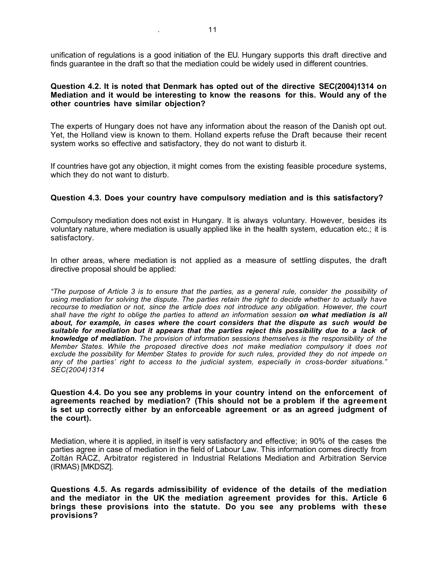unification of regulations is a good initiation of the EU. Hungary supports this draft directive and finds guarantee in the draft so that the mediation could be widely used in different countries.

#### **Question 4.2. It is noted that Denmark has opted out of the directive SEC(2004)1314 on Mediation and it would be interesting to know the reasons for this. Would any of the other countries have similar objection?**

The experts of Hungary does not have any information about the reason of the Danish opt out. Yet, the Holland view is known to them. Holland experts refuse the Draft because their recent system works so effective and satisfactory, they do not want to disturb it.

If countries have got any objection, it might comes from the existing feasible procedure systems, which they do not want to disturb.

#### **Question 4.3. Does your country have compulsory mediation and is this satisfactory?**

Compulsory mediation does not exist in Hungary. It is always voluntary. However, besides its voluntary nature, where mediation is usually applied like in the health system, education etc.; it is satisfactory.

In other areas, where mediation is not applied as a measure of settling disputes, the draft directive proposal should be applied:

*"The purpose of Article 3 is to ensure that the parties, as a general rule, consider the possibility of using mediation for solving the dispute. The parties retain the right to decide whether to actually have recourse to mediation or not, since the article does not introduce any obligation. However, the court shall have the right to oblige the parties to attend an information session on what mediation is all about, for example, in cases where the court considers that the dispute as such would be suitable for mediation but it appears that the parties reject this possibility due to a lack of knowledge of mediation. The provision of information sessions themselves is the responsibility of the Member States. While the proposed directive does not make mediation compulsory it does not exclude the possibility for Member States to provide for such rules, provided they do not impede on any of the parties' right to access to the judicial system, especially in cross-border situations." SEC(2004)1314*

**Question 4.4. Do you see any problems in your country intend on the enforcement of agreements reached by mediation? (This should not be a problem if the agreement is set up correctly either by an enforceable agreement or as an agreed judgment of the court).**

Mediation, where it is applied, in itself is very satisfactory and effective; in 90% of the cases the parties agree in case of mediation in the field of Labour Law. This information comes directly from Zoltán RÁCZ, Arbitrator registered in Industrial Relations Mediation and Arbitration Service (IRMAS) [MKDSZ].

**Questions 4.5. As regards admissibility of evidence of the details of the mediation and the mediator in the UK the mediation agreement provides for this. Article 6 brings these provisions into the statute. Do you see any problems with these provisions?**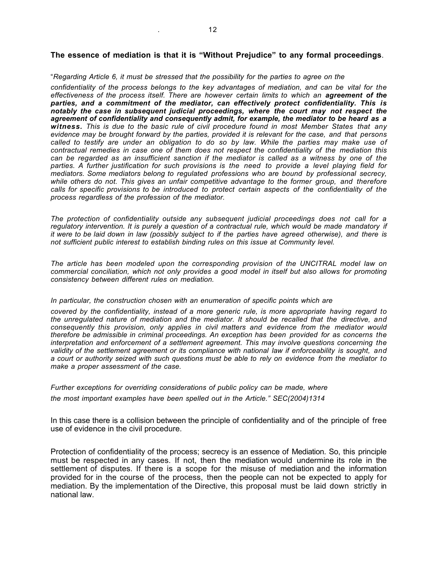#### **The essence of mediation is that it is "Without Prejudice" to any formal proceedings**.

#### "*Regarding Article 6, it must be stressed that the possibility for the parties to agree on the*

*confidentiality of the process belongs to the key advantages of mediation, and can be vital for the effectiveness of the process itself. There are however certain limits to which an agreement of the parties, and a commitment of the mediator, can effectively protect confidentiality. This is notably the case in subsequent judicial proceedings, where the court may not respect the agreement of confidentiality and consequently admit, for example, the mediator to be heard as a witness. This is due to the basic rule of civil procedure found in most Member States that any evidence may be brought forward by the parties, provided it is relevant for the case, and that persons called to testify are under an obligation to do so by law. While the parties may make use of contractual remedies in case one of them does not respect the confidentiality of the mediation this can be regarded as an insufficient sanction if the mediator is called as a witness by one of the parties. A further justification for such provisions is the need to provide a level playing field for mediators. Some mediators belong to regulated professions who are bound by professional secrecy, while others do not. This gives an unfair competitive advantage to the former group, and therefore calls for specific provisions to be introduced to protect certain aspects of the confidentiality of the process regardless of the profession of the mediator.*

*The protection of confidentiality outside any subsequent judicial proceedings does not call for a regulatory intervention. It is purely a question of a contractual rule, which would be made mandatory if it were to be laid down in law (possibly subject to if the parties have agreed otherwise), and there is not sufficient public interest to establish binding rules on this issue at Community level.*

*The article has been modeled upon the corresponding provision of the UNCITRAL model law on commercial conciliation, which not only provides a good model in itself but also allows for promoting consistency between different rules on mediation.*

#### *In particular, the construction chosen with an enumeration of specific points which are*

*covered by the confidentiality, instead of a more generic rule, is more appropriate having regard to the unregulated nature of mediation and the mediator. It should be recalled that the directive, and consequently this provision, only applies in civil matters and evidence from the mediator would therefore be admissible in criminal proceedings. An exception has been provided for as concerns the interpretation and enforcement of a settlement agreement. This may involve questions concerning the validity of the settlement agreement or its compliance with national law if enforceability is sought, and a court or authority seized with such questions must be able to rely on evidence from the mediator to make a proper assessment of the case.*

*Further exceptions for overriding considerations of public policy can be made, where the most important examples have been spelled out in the Article." SEC(2004)1314*

In this case there is a collision between the principle of confidentiality and of the principle of free use of evidence in the civil procedure.

Protection of confidentiality of the process; secrecy is an essence of Mediation. So, this principle must be respected in any cases. If not, then the mediation would undermine its role in the settlement of disputes. If there is a scope for the misuse of mediation and the information provided for in the course of the process, then the people can not be expected to apply for mediation. By the implementation of the Directive, this proposal must be laid down strictly in national law.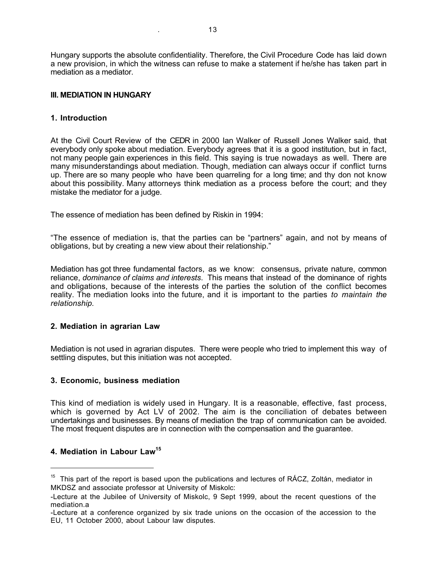Hungary supports the absolute confidentiality. Therefore, the Civil Procedure Code has laid down a new provision, in which the witness can refuse to make a statement if he/she has taken part in mediation as a mediator.

## **III. MEDIATION IN HUNGARY**

#### **1. Introduction**

At the Civil Court Review of the CEDR in 2000 Ian Walker of Russell Jones Walker said, that everybody only spoke about mediation. Everybody agrees that it is a good institution, but in fact, not many people gain experiences in this field. This saying is true nowadays as well. There are many misunderstandings about mediation. Though, mediation can always occur if conflict turns up. There are so many people who have been quarreling for a long time; and thy don not know about this possibility. Many attorneys think mediation as a process before the court; and they mistake the mediator for a judge.

The essence of mediation has been defined by Riskin in 1994:

"The essence of mediation is, that the parties can be "partners" again, and not by means of obligations, but by creating a new view about their relationship."

Mediation has got three fundamental factors, as we know: consensus, private nature, common reliance, *dominance of claims and interests*. This means that instead of the dominance of rights and obligations, because of the interests of the parties the solution of the conflict becomes reality. The mediation looks into the future, and it is important to the parties *to maintain the relationship.*

## **2. Mediation in agrarian Law**

Mediation is not used in agrarian disputes. There were people who tried to implement this way of settling disputes, but this initiation was not accepted.

#### **3. Economic, business mediation**

This kind of mediation is widely used in Hungary. It is a reasonable, effective, fast process, which is governed by Act LV of 2002. The aim is the conciliation of debates between undertakings and businesses. By means of mediation the trap of communication can be avoided. The most frequent disputes are in connection with the compensation and the guarantee.

## **4. Mediation in Labour Law15**

 $\overline{a}$ 

<sup>&</sup>lt;sup>15</sup> This part of the report is based upon the publications and lectures of RÁCZ, Zoltán, mediator in MKDSZ and associate professor at University of Miskolc:

<sup>-</sup>Lecture at the Jubilee of University of Miskolc, 9 Sept 1999, about the recent questions of the mediation.a

<sup>-</sup>Lecture at a conference organized by six trade unions on the occasion of the accession to the EU, 11 October 2000, about Labour law disputes.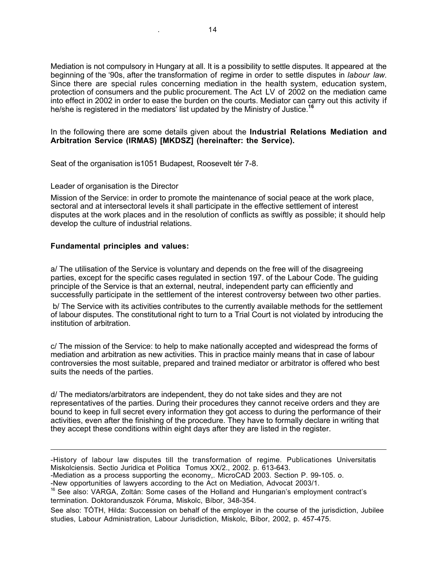Mediation is not compulsory in Hungary at all. It is a possibility to settle disputes. It appeared at the beginning of the '90s, after the transformation of regime in order to settle disputes in *labour law*. Since there are special rules concerning mediation in the health system, education system, protection of consumers and the public procurement. The Act LV of 2002 on the mediation came into effect in 2002 in order to ease the burden on the courts. Mediator can carry out this activity if he/she is registered in the mediators' list updated by the Ministry of Justice.**<sup>16</sup>**

In the following there are some details given about the **Industrial Relations Mediation and Arbitration Service (IRMAS) [MKDSZ] (hereinafter: the Service).**

Seat of the organisation is1051 Budapest, Roosevelt tér 7-8.

#### Leader of organisation is the Director

Mission of the Service: in order to promote the maintenance of social peace at the work place, sectoral and at intersectoral levels it shall participate in the effective settlement of interest disputes at the work places and in the resolution of conflicts as swiftly as possible; it should help develop the culture of industrial relations.

#### **Fundamental principles and values:**

 $\overline{a}$ 

a/ The utilisation of the Service is voluntary and depends on the free will of the disagreeing parties, except for the specific cases regulated in section 197. of the Labour Code. The guiding principle of the Service is that an external, neutral, independent party can efficiently and successfully participate in the settlement of the interest controversy between two other parties.

 b/ The Service with its activities contributes to the currently available methods for the settlement of labour disputes. The constitutional right to turn to a Trial Court is not violated by introducing the institution of arbitration.

c/ The mission of the Service: to help to make nationally accepted and widespread the forms of mediation and arbitration as new activities. This in practice mainly means that in case of labour controversies the most suitable, prepared and trained mediator or arbitrator is offered who best suits the needs of the parties.

d/ The mediators/arbitrators are independent, they do not take sides and they are not representatives of the parties. During their procedures they cannot receive orders and they are bound to keep in full secret every information they got access to during the performance of their activities, even after the finishing of the procedure. They have to formally declare in writing that they accept these conditions within eight days after they are listed in the register.

See also: TÓTH, Hilda: Succession on behalf of the employer in the course of the jurisdiction, Jubilee studies, Labour Administration, Labour Jurisdiction, Miskolc, Bíbor, 2002, p. 457-475.

<sup>-</sup>History of labour law disputes till the transformation of regime. Publicationes Universitatis Miskolciensis. Sectio Juridica et Politica Tomus XX/2., 2002. p. 613-643.

<sup>-</sup>Mediation as a process supporting the economy,. MicroCAD 2003. Section P. 99-105. o.

<sup>-</sup>New opportunities of lawyers according to the Act on Mediation, Advocat 2003/1.

<sup>&</sup>lt;sup>16</sup> See also: VARGA, Zoltán: Some cases of the Holland and Hungarian's employment contract's termination. Doktoranduszok Fóruma, Miskolc, Bíbor, 348-354.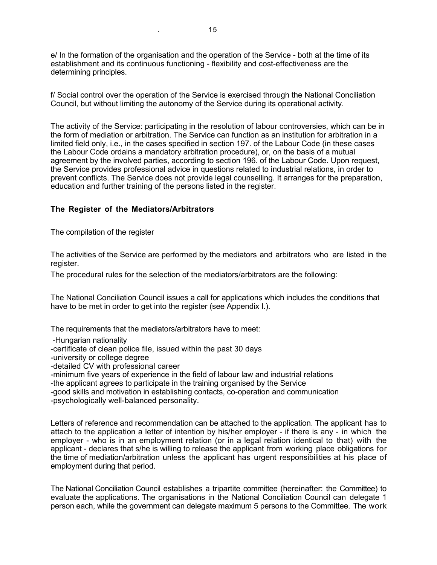e/ In the formation of the organisation and the operation of the Service - both at the time of its establishment and its continuous functioning - flexibility and cost-effectiveness are the determining principles.

f/ Social control over the operation of the Service is exercised through the National Conciliation Council, but without limiting the autonomy of the Service during its operational activity.

The activity of the Service: participating in the resolution of labour controversies, which can be in the form of mediation or arbitration. The Service can function as an institution for arbitration in a limited field only, i.e., in the cases specified in section 197. of the Labour Code (in these cases the Labour Code ordains a mandatory arbitration procedure), or, on the basis of a mutual agreement by the involved parties, according to section 196. of the Labour Code. Upon request, the Service provides professional advice in questions related to industrial relations, in order to prevent conflicts. The Service does not provide legal counselling. It arranges for the preparation, education and further training of the persons listed in the register.

#### **The Register of the Mediators/Arbitrators**

The compilation of the register

The activities of the Service are performed by the mediators and arbitrators who are listed in the register.

The procedural rules for the selection of the mediators/arbitrators are the following:

The National Conciliation Council issues a call for applications which includes the conditions that have to be met in order to get into the register (see Appendix I.).

The requirements that the mediators/arbitrators have to meet:

- -Hungarian nationality
- -certificate of clean police file, issued within the past 30 days
- -university or college degree
- -detailed CV with professional career
- -minimum five years of experience in the field of labour law and industrial relations
- -the applicant agrees to participate in the training organised by the Service
- -good skills and motivation in establishing contacts, co-operation and communication

-psychologically well-balanced personality.

Letters of reference and recommendation can be attached to the application. The applicant has to attach to the application a letter of intention by his/her employer - if there is any - in which the employer - who is in an employment relation (or in a legal relation identical to that) with the applicant - declares that s/he is willing to release the applicant from working place obligations for the time of mediation/arbitration unless the applicant has urgent responsibilities at his place of employment during that period.

The National Conciliation Council establishes a tripartite committee (hereinafter: the Committee) to evaluate the applications. The organisations in the National Conciliation Council can delegate 1 person each, while the government can delegate maximum 5 persons to the Committee. The work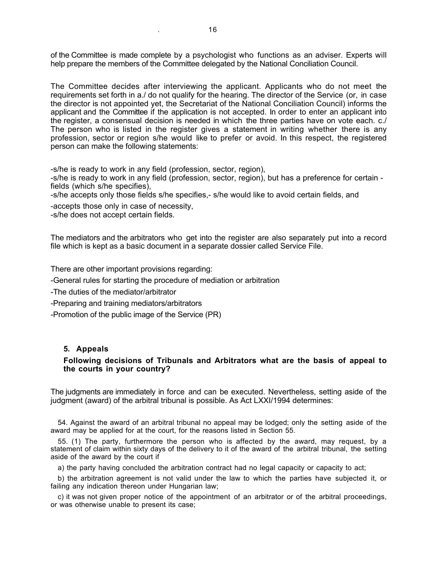of the Committee is made complete by a psychologist who functions as an adviser. Experts will help prepare the members of the Committee delegated by the National Conciliation Council.

The Committee decides after interviewing the applicant. Applicants who do not meet the requirements set forth in a./ do not qualify for the hearing. The director of the Service (or, in case the director is not appointed yet, the Secretariat of the National Conciliation Council) informs the applicant and the Committee if the application is not accepted. In order to enter an applicant into the register, a consensual decision is needed in which the three parties have on vote each. c./ The person who is listed in the register gives a statement in writing whether there is any profession, sector or region s/he would like to prefer or avoid. In this respect, the registered person can make the following statements:

-s/he is ready to work in any field (profession, sector, region),

-s/he is ready to work in any field (profession, sector, region), but has a preference for certain fields (which s/he specifies),

-s/he accepts only those fields s/he specifies,- s/he would like to avoid certain fields, and

-accepts those only in case of necessity,

-s/he does not accept certain fields.

The mediators and the arbitrators who get into the register are also separately put into a record file which is kept as a basic document in a separate dossier called Service File.

There are other important provisions regarding:

-General rules for starting the procedure of mediation or arbitration

-The duties of the mediator/arbitrator

-Preparing and training mediators/arbitrators

-Promotion of the public image of the Service (PR)

#### **5. Appeals**

#### **Following decisions of Tribunals and Arbitrators what are the basis of appeal to the courts in your country?**

The judgments are immediately in force and can be executed. Nevertheless, setting aside of the judgment (award) of the arbitral tribunal is possible. As Act LXXI/1994 determines:

54. Against the award of an arbitral tribunal no appeal may be lodged; only the setting aside of the award may be applied for at the court, for the reasons listed in Section 55.

55. (1) The party, furthermore the person who is affected by the award, may request, by a statement of claim within sixty days of the delivery to it of the award of the arbitral tribunal, the setting aside of the award by the court if

a) the party having concluded the arbitration contract had no legal capacity or capacity to act;

b) the arbitration agreement is not valid under the law to which the parties have subjected it, or failing any indication thereon under Hungarian law;

c) it was not given proper notice of the appointment of an arbitrator or of the arbitral proceedings, or was otherwise unable to present its case;